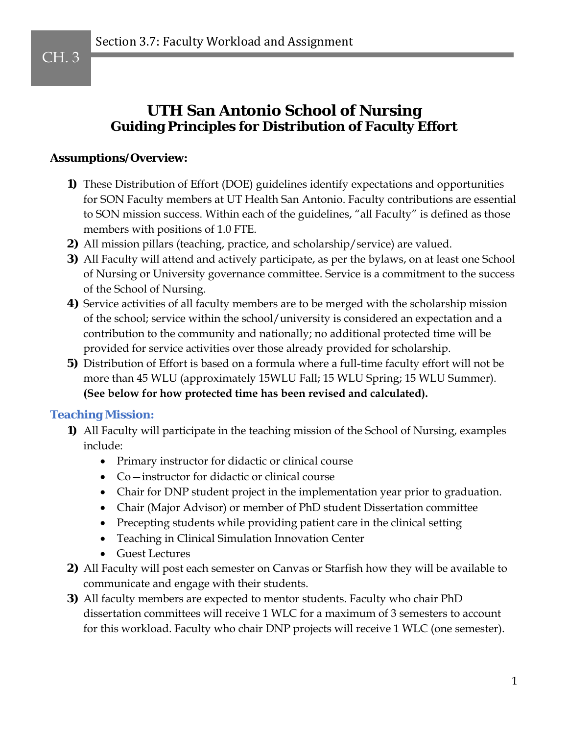## **UTH San Antonio School of Nursing Guiding Principles for Distribution of Faculty Effort**

#### **Assumptions/Overview:**

- **1)** These Distribution of Effort (DOE) guidelines identify expectations and opportunities for SON Faculty members at UT Health San Antonio. Faculty contributions are essential to SON mission success. Within each of the guidelines, "all Faculty" is defined as those members with positions of 1.0 FTE.
- **2)** All mission pillars (teaching, practice, and scholarship/service) are valued.
- **3)** All Faculty will attend and actively participate, as per the bylaws, on at least one School of Nursing or University governance committee. Service is a commitment to the success of the School of Nursing.
- **4)** Service activities of all faculty members are to be merged with the scholarship mission of the school; service within the school/university is considered an expectation and a contribution to the community and nationally; no additional protected time will be provided for service activities over those already provided for scholarship.
- **5)** Distribution of Effort is based on a formula where a full-time faculty effort will not be more than 45 WLU (approximately 15WLU Fall; 15 WLU Spring; 15 WLU Summer). **(See below for how protected time has been revised and calculated).**

#### **Teaching Mission:**

- **1)** All Faculty will participate in the teaching mission of the School of Nursing, examples include:
	- Primary instructor for didactic or clinical course
	- Co—instructor for didactic or clinical course
	- Chair for DNP student project in the implementation year prior to graduation.
	- Chair (Major Advisor) or member of PhD student Dissertation committee
	- Precepting students while providing patient care in the clinical setting
	- Teaching in Clinical Simulation Innovation Center
	- Guest Lectures
- **2)** All Faculty will post each semester on Canvas or Starfish how they will be available to communicate and engage with their students.
- **3)** All faculty members are expected to mentor students. Faculty who chair PhD dissertation committees will receive 1 WLC for a maximum of 3 semesters to account for this workload. Faculty who chair DNP projects will receive 1 WLC (one semester).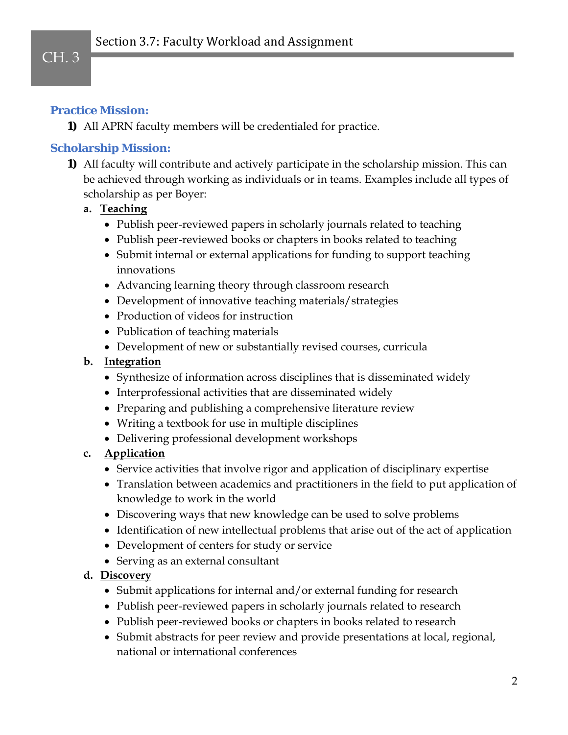# CH. 3

### **Practice Mission:**

**1)** All APRN faculty members will be credentialed for practice.

### **Scholarship Mission:**

**1)** All faculty will contribute and actively participate in the scholarship mission. This can be achieved through working as individuals or in teams. Examples include all types of scholarship as per Boyer:

### **a. Teaching**

- Publish peer-reviewed papers in scholarly journals related to teaching
- Publish peer-reviewed books or chapters in books related to teaching
- Submit internal or external applications for funding to support teaching innovations
- Advancing learning theory through classroom research
- Development of innovative teaching materials/strategies
- Production of videos for instruction
- Publication of teaching materials
- Development of new or substantially revised courses, curricula

#### **b. Integration**

- Synthesize of information across disciplines that is disseminated widely
- Interprofessional activities that are disseminated widely
- Preparing and publishing a comprehensive literature review
- Writing a textbook for use in multiple disciplines
- Delivering professional development workshops

### **c. Application**

- Service activities that involve rigor and application of disciplinary expertise
- Translation between academics and practitioners in the field to put application of knowledge to work in the world
- Discovering ways that new knowledge can be used to solve problems
- Identification of new intellectual problems that arise out of the act of application
- Development of centers for study or service
- Serving as an external consultant

### **d. Discovery**

- Submit applications for internal and/or external funding for research
- Publish peer-reviewed papers in scholarly journals related to research
- Publish peer-reviewed books or chapters in books related to research
- Submit abstracts for peer review and provide presentations at local, regional, national or international conferences